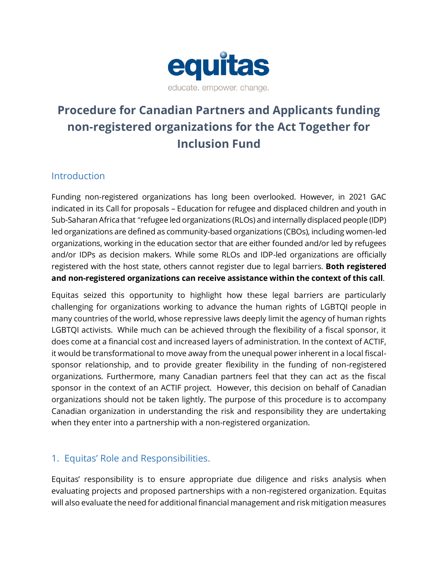

# **Procedure for Canadian Partners and Applicants funding non-registered organizations for the Act Together for Inclusion Fund**

# **Introduction**

Funding non-registered organizations has long been overlooked. However, in 2021 GAC indicated in its Call for proposals – Education for refugee and displaced children and youth in Sub-Saharan Africa that "refugee led organizations (RLOs) and internally displaced people (IDP) led organizations are defined as community-based organizations (CBOs), including women-led organizations, working in the education sector that are either founded and/or led by refugees and/or IDPs as decision makers. While some RLOs and IDP-led organizations are officially registered with the host state, others cannot register due to legal barriers. **Both registered and non-registered organizations can receive assistance within the context of this call**.

Equitas seized this opportunity to highlight how these legal barriers are particularly challenging for organizations working to advance the human rights of LGBTQI people in many countries of the world, whose repressive laws deeply limit the agency of human rights LGBTQI activists. While much can be achieved through the flexibility of a fiscal sponsor, it does come at a financial cost and increased layers of administration. In the context of ACTIF, it would be transformational to move away from the unequal power inherent in a local fiscalsponsor relationship, and to provide greater flexibility in the funding of non-registered organizations. Furthermore, many Canadian partners feel that they can act as the fiscal sponsor in the context of an ACTIF project. However, this decision on behalf of Canadian organizations should not be taken lightly. The purpose of this procedure is to accompany Canadian organization in understanding the risk and responsibility they are undertaking when they enter into a partnership with a non-registered organization.

# 1. Equitas' Role and Responsibilities.

Equitas' responsibility is to ensure appropriate due diligence and risks analysis when evaluating projects and proposed partnerships with a non-registered organization. Equitas will also evaluate the need for additional financial management and risk mitigation measures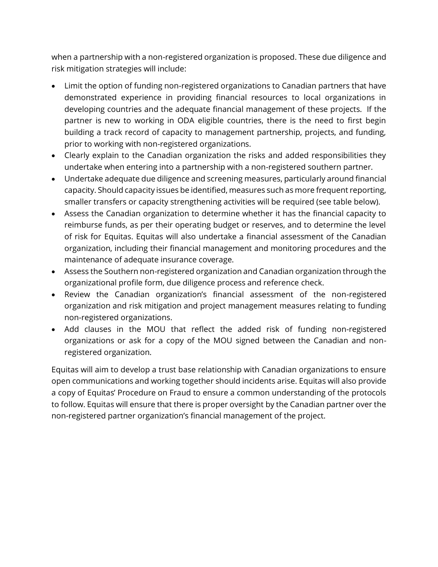when a partnership with a non-registered organization is proposed. These due diligence and risk mitigation strategies will include:

- Limit the option of funding non-registered organizations to Canadian partners that have demonstrated experience in providing financial resources to local organizations in developing countries and the adequate financial management of these projects. If the partner is new to working in ODA eligible countries, there is the need to first begin building a track record of capacity to management partnership, projects, and funding, prior to working with non-registered organizations.
- Clearly explain to the Canadian organization the risks and added responsibilities they undertake when entering into a partnership with a non-registered southern partner.
- Undertake adequate due diligence and screening measures, particularly around financial capacity. Should capacity issues be identified, measures such as more frequent reporting, smaller transfers or capacity strengthening activities will be required (see table below).
- Assess the Canadian organization to determine whether it has the financial capacity to reimburse funds, as per their operating budget or reserves, and to determine the level of risk for Equitas. Equitas will also undertake a financial assessment of the Canadian organization, including their financial management and monitoring procedures and the maintenance of adequate insurance coverage.
- Assess the Southern non-registered organization and Canadian organization through the organizational profile form, due diligence process and reference check.
- Review the Canadian organization's financial assessment of the non-registered organization and risk mitigation and project management measures relating to funding non-registered organizations.
- Add clauses in the MOU that reflect the added risk of funding non-registered organizations or ask for a copy of the MOU signed between the Canadian and nonregistered organization.

Equitas will aim to develop a trust base relationship with Canadian organizations to ensure open communications and working together should incidents arise. Equitas will also provide a copy of Equitas' Procedure on Fraud to ensure a common understanding of the protocols to follow. Equitas will ensure that there is proper oversight by the Canadian partner over the non-registered partner organization's financial management of the project.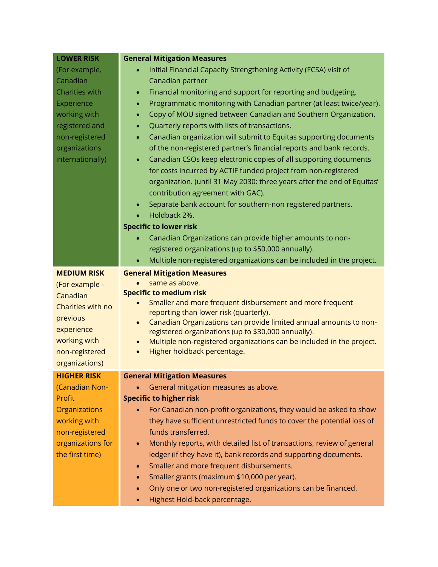| <b>LOWER RISK</b>    | <b>General Mitigation Measures</b>                                                                                                                                                                                                          |  |  |
|----------------------|---------------------------------------------------------------------------------------------------------------------------------------------------------------------------------------------------------------------------------------------|--|--|
| (For example,        | Initial Financial Capacity Strengthening Activity (FCSA) visit of                                                                                                                                                                           |  |  |
| Canadian             | Canadian partner                                                                                                                                                                                                                            |  |  |
| Charities with       | Financial monitoring and support for reporting and budgeting.<br>$\bullet$                                                                                                                                                                  |  |  |
| Experience           | Programmatic monitoring with Canadian partner (at least twice/year).<br>$\bullet$                                                                                                                                                           |  |  |
| working with         | Copy of MOU signed between Canadian and Southern Organization.<br>٠                                                                                                                                                                         |  |  |
| registered and       | Quarterly reports with lists of transactions.<br>$\bullet$                                                                                                                                                                                  |  |  |
| non-registered       | Canadian organization will submit to Equitas supporting documents<br>$\bullet$                                                                                                                                                              |  |  |
| organizations        | of the non-registered partner's financial reports and bank records.                                                                                                                                                                         |  |  |
| internationally)     | Canadian CSOs keep electronic copies of all supporting documents<br>$\bullet$                                                                                                                                                               |  |  |
|                      | for costs incurred by ACTIF funded project from non-registered                                                                                                                                                                              |  |  |
|                      | organization. (until 31 May 2030: three years after the end of Equitas'                                                                                                                                                                     |  |  |
|                      | contribution agreement with GAC).                                                                                                                                                                                                           |  |  |
|                      | Separate bank account for southern-non registered partners.<br>$\bullet$                                                                                                                                                                    |  |  |
|                      | Holdback 2%.                                                                                                                                                                                                                                |  |  |
|                      | <b>Specific to lower risk</b>                                                                                                                                                                                                               |  |  |
|                      | Canadian Organizations can provide higher amounts to non-<br>$\bullet$                                                                                                                                                                      |  |  |
|                      | registered organizations (up to \$50,000 annually).                                                                                                                                                                                         |  |  |
|                      | Multiple non-registered organizations can be included in the project.<br>$\bullet$                                                                                                                                                          |  |  |
| <b>MEDIUM RISK</b>   | <b>General Mitigation Measures</b>                                                                                                                                                                                                          |  |  |
| (For example -       | same as above.                                                                                                                                                                                                                              |  |  |
| Canadian             | <b>Specific to medium risk</b>                                                                                                                                                                                                              |  |  |
| Charities with no    | Smaller and more frequent disbursement and more frequent<br>reporting than lower risk (quarterly).<br>Canadian Organizations can provide limited annual amounts to non-<br>$\bullet$<br>registered organizations (up to \$30,000 annually). |  |  |
| previous             |                                                                                                                                                                                                                                             |  |  |
| experience           |                                                                                                                                                                                                                                             |  |  |
| working with         | Multiple non-registered organizations can be included in the project.<br>$\bullet$                                                                                                                                                          |  |  |
| non-registered       | Higher holdback percentage.<br>$\bullet$                                                                                                                                                                                                    |  |  |
| organizations)       |                                                                                                                                                                                                                                             |  |  |
| <b>HIGHER RISK</b>   | <b>General Mitigation Measures</b>                                                                                                                                                                                                          |  |  |
| (Canadian Non-       | General mitigation measures as above.                                                                                                                                                                                                       |  |  |
| Profit               | <b>Specific to higher risk</b>                                                                                                                                                                                                              |  |  |
| <b>Organizations</b> | For Canadian non-profit organizations, they would be asked to show                                                                                                                                                                          |  |  |
| working with         | they have sufficient unrestricted funds to cover the potential loss of                                                                                                                                                                      |  |  |
| non-registered       | funds transferred.                                                                                                                                                                                                                          |  |  |
| organizations for    | Monthly reports, with detailed list of transactions, review of general<br>$\bullet$                                                                                                                                                         |  |  |
| the first time)      | ledger (if they have it), bank records and supporting documents.                                                                                                                                                                            |  |  |
|                      | Smaller and more frequent disbursements.<br>$\bullet$                                                                                                                                                                                       |  |  |
|                      | Smaller grants (maximum \$10,000 per year).<br>$\bullet$                                                                                                                                                                                    |  |  |
|                      | Only one or two non-registered organizations can be financed.<br>$\bullet$                                                                                                                                                                  |  |  |
|                      | Highest Hold-back percentage.<br>$\bullet$                                                                                                                                                                                                  |  |  |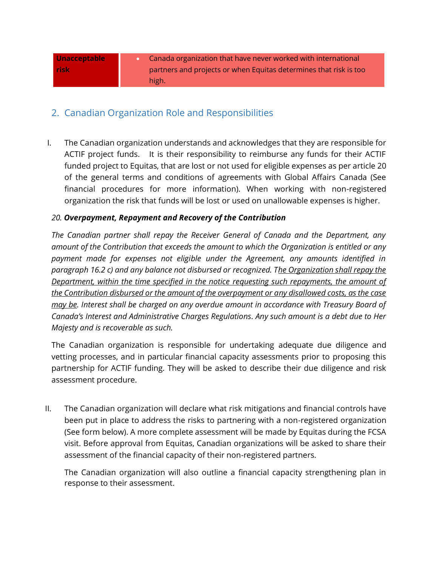| <b>Unacceptable</b> | Canada organization that have never worked with international     |
|---------------------|-------------------------------------------------------------------|
| <b>risk</b>         | partners and projects or when Equitas determines that risk is too |
|                     | high.                                                             |

### 2. Canadian Organization Role and Responsibilities

I. The Canadian organization understands and acknowledges that they are responsible for ACTIF project funds. It is their responsibility to reimburse any funds for their ACTIF funded project to Equitas, that are lost or not used for eligible expenses as per article 20 of the general terms and conditions of agreements with Global Affairs Canada (See financial procedures for more information). When working with non-registered organization the risk that funds will be lost or used on unallowable expenses is higher.

#### *20. Overpayment, Repayment and Recovery of the Contribution*

*The Canadian partner shall repay the Receiver General of Canada and the Department, any amount of the Contribution that exceeds the amount to which the Organization is entitled or any payment made for expenses not eligible under the Agreement, any amounts identified in paragraph 16.2 c) and any balance not disbursed or recognized. The Organization shall repay the Department, within the time specified in the notice requesting such repayments, the amount of the Contribution disbursed or the amount of the overpayment or any disallowed costs, as the case may be. Interest shall be charged on any overdue amount in accordance with Treasury Board of Canada's [Interest and Administrative Charges Regulations.](http://laws.justice.gc.ca/eng/regulations/SOR-96-188/index.html) Any such amount is a debt due to Her Majesty and is recoverable as such.*

The Canadian organization is responsible for undertaking adequate due diligence and vetting processes, and in particular financial capacity assessments prior to proposing this partnership for ACTIF funding. They will be asked to describe their due diligence and risk assessment procedure.

II. The Canadian organization will declare what risk mitigations and financial controls have been put in place to address the risks to partnering with a non-registered organization (See form below). A more complete assessment will be made by Equitas during the FCSA visit. Before approval from Equitas, Canadian organizations will be asked to share their assessment of the financial capacity of their non-registered partners.

The Canadian organization will also outline a financial capacity strengthening plan in response to their assessment.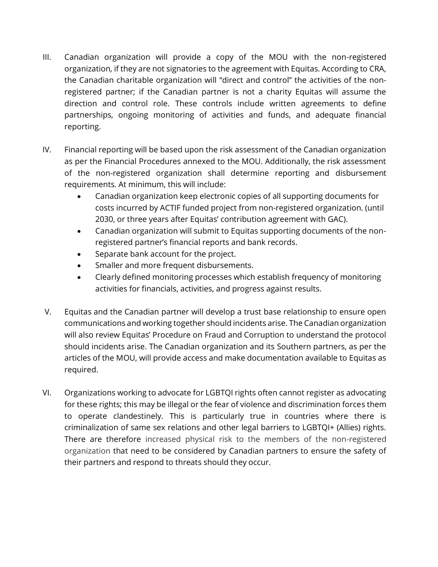- III. Canadian organization will provide a copy of the MOU with the non-registered organization, if they are not signatories to the agreement with Equitas. According to CRA, the Canadian charitable organization will "direct and control" the activities of the nonregistered partner; if the Canadian partner is not a charity Equitas will assume the direction and control role. These controls include written agreements to define partnerships, ongoing monitoring of activities and funds, and adequate financial reporting.
- IV. Financial reporting will be based upon the risk assessment of the Canadian organization as per the Financial Procedures annexed to the MOU. Additionally, the risk assessment of the non-registered organization shall determine reporting and disbursement requirements. At minimum, this will include:
	- Canadian organization keep electronic copies of all supporting documents for costs incurred by ACTIF funded project from non-registered organization. (until 2030, or three years after Equitas' contribution agreement with GAC).
	- Canadian organization will submit to Equitas supporting documents of the nonregistered partner's financial reports and bank records.
	- Separate bank account for the project.
	- Smaller and more frequent disbursements.
	- Clearly defined monitoring processes which establish frequency of monitoring activities for financials, activities, and progress against results.
- V. Equitas and the Canadian partner will develop a trust base relationship to ensure open communications and working together should incidents arise. The Canadian organization will also review Equitas' Procedure on Fraud and Corruption to understand the protocol should incidents arise. The Canadian organization and its Southern partners, as per the articles of the MOU, will provide access and make documentation available to Equitas as required.
- VI. Organizations working to advocate for LGBTQI rights often cannot register as advocating for these rights; this may be illegal or the fear of violence and discrimination forces them to operate clandestinely. This is particularly true in countries where there is criminalization of same sex relations and other legal barriers to LGBTQI+ (Allies) rights. There are therefore increased physical risk to the members of the non-registered organization that need to be considered by Canadian partners to ensure the safety of their partners and respond to threats should they occur.